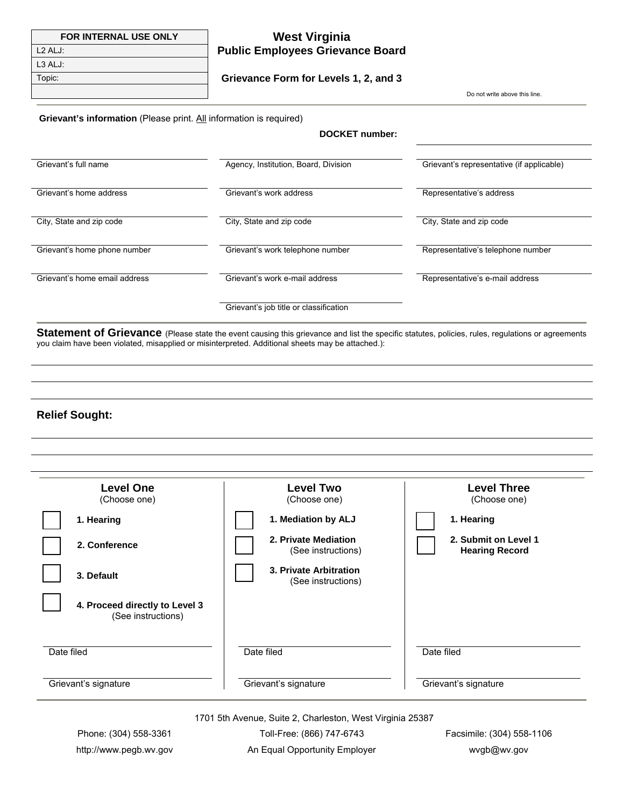| <b>FOR INTERNAL USE ONLY</b>                                              | <b>West Virginia</b>                    |                               |
|---------------------------------------------------------------------------|-----------------------------------------|-------------------------------|
| $L2$ ALJ:                                                                 | <b>Public Employees Grievance Board</b> |                               |
| L3 ALJ:                                                                   |                                         |                               |
| Topic:                                                                    | Grievance Form for Levels 1, 2, and 3   |                               |
|                                                                           |                                         | Do not write above this line. |
| <b>Grievant's information</b> (Please print. All information is required) |                                         |                               |

**DOCKET number:**

| Grievant's full name          | Agency, Institution, Board, Division   | Grievant's representative (if applicable) |
|-------------------------------|----------------------------------------|-------------------------------------------|
| Grievant's home address       | Grievant's work address                | Representative's address                  |
| City, State and zip code      | City, State and zip code               | City, State and zip code                  |
| Grievant's home phone number  | Grievant's work telephone number       | Representative's telephone number         |
| Grievant's home email address | Grievant's work e-mail address         | Representative's e-mail address           |
|                               | Grievant's job title or classification |                                           |

Statement of Grievance (Please state the event causing this grievance and list the specific statutes, policies, rules, regulations or agreements you claim have been violated, misapplied or misinterpreted. Additional sheets may be attached.):

#### **Relief Sought:**

| <b>Level One</b>                                     | <b>Level Two</b>                             | <b>Level Three</b>                            |
|------------------------------------------------------|----------------------------------------------|-----------------------------------------------|
| (Choose one)                                         | (Choose one)                                 | (Choose one)                                  |
| 1. Hearing                                           | 1. Mediation by ALJ                          | 1. Hearing                                    |
| 2. Conference                                        | 2. Private Mediation<br>(See instructions)   | 2. Submit on Level 1<br><b>Hearing Record</b> |
| 3. Default                                           | 3. Private Arbitration<br>(See instructions) |                                               |
| 4. Proceed directly to Level 3<br>(See instructions) |                                              |                                               |
| Date filed                                           | Date filed                                   | Date filed                                    |

1701 5th Avenue, Suite 2, Charleston, West Virginia 25387

Phone: (304) 558-3361 Toll-Free: (866) 747-6743 Facsimile: (304) 558-1106 http://www.pegb.wv.gov An Equal Opportunity Employer wvgb@wv.gov